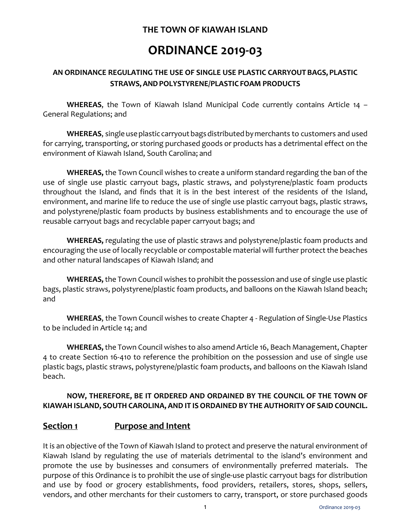# **THE TOWN OF KIAWAH ISLAND**

# **ORDINANCE 2019-03**

# **AN ORDINANCE REGULATING THE USE OF SINGLE USE PLASTIC CARRYOUTBAGS, PLASTIC STRAWS,ANDPOLYSTYRENE/PLASTIC FOAM PRODUCTS**

**WHEREAS**, the Town of Kiawah Island Municipal Code currently contains Article 14 – General Regulations; and

WHEREAS, single use plastic carryout bags distributed by merchants to customers and used for carrying, transporting, or storing purchased goods or products has a detrimental effect on the environment of Kiawah Island, South Carolina; and

**WHEREAS,** the Town Council wishes to create a uniform standard regarding the ban of the use of single use plastic carryout bags, plastic straws, and polystyrene/plastic foam products throughout the Island, and finds that it is in the best interest of the residents of the Island, environment, and marine life to reduce the use of single use plastic carryout bags, plastic straws, and polystyrene/plastic foam products by business establishments and to encourage the use of reusable carryout bags and recyclable paper carryout bags; and

**WHEREAS,** regulating the use of plastic straws and polystyrene/plastic foam products and encouraging the use of locally recyclable or compostable material will further protect the beaches and other natural landscapes of Kiawah Island; and

**WHEREAS,** the Town Council wishes to prohibit the possession and use of single use plastic bags, plastic straws, polystyrene/plastic foam products, and balloons on the Kiawah Island beach; and

**WHEREAS**, the Town Council wishes to create Chapter 4 - Regulation of Single-Use Plastics to be included in Article 14; and

**WHEREAS,** the Town Council wishes to also amend Article 16, Beach Management, Chapter 4 to create Section 16-410 to reference the prohibition on the possession and use of single use plastic bags, plastic straws, polystyrene/plastic foam products, and balloons on the Kiawah Island beach.

## **NOW, THEREFORE, BE IT ORDERED AND ORDAINED BY THE COUNCIL OF THE TOWN OF KIAWAH ISLAND, SOUTH CAROLINA, AND IT IS ORDAINED BY THE AUTHORITY OF SAID COUNCIL.**

# **Section 1 Purpose and Intent**

It is an objective of the Town of Kiawah Island to protect and preserve the natural environment of Kiawah Island by regulating the use of materials detrimental to the island's environment and promote the use by businesses and consumers of environmentally preferred materials. The purpose of this Ordinance is to prohibit the use of single-use plastic carryout bags for distribution and use by food or grocery establishments, food providers, retailers, stores, shops, sellers, vendors, and other merchants for their customers to carry, transport, or store purchased goods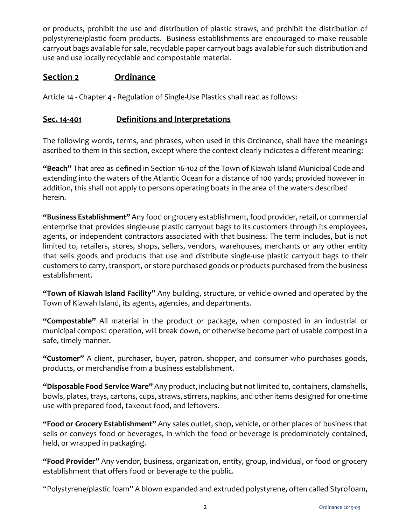or products, prohibit the use and distribution of plastic straws, and prohibit the distribution of polystyrene/plastic foam products. Business establishments are encouraged to make reusable carryout bags available for sale, recyclable paper carryout bags available for such distribution and use and use locally recyclable and compostable material.

## **Section 2 Ordinance**

Article 14 - Chapter 4 - Regulation of Single-Use Plastics shall read as follows:

## **Sec. 14-401 Definitions and Interpretations**

The following words, terms, and phrases, when used in this Ordinance, shall have the meanings ascribed to them in this section, except where the context clearly indicates a different meaning:

**"Beach"** That area as defined in Section 16-102 of the Town of Kiawah Island Municipal Code and extending into the waters of the Atlantic Ocean for a distance of 100 yards; provided however in addition, this shall not apply to persons operating boats in the area of the waters described herein.

**"Business Establishment"** Any food or grocery establishment, food provider, retail, or commercial enterprise that provides single-use plastic carryout bags to its customers through its employees, agents, or independent contractors associated with that business. The term includes, but is not limited to, retailers, stores, shops, sellers, vendors, warehouses, merchants or any other entity that sells goods and products that use and distribute single-use plastic carryout bags to their customers to carry, transport, or store purchased goods or products purchased from the business establishment.

**"Town of Kiawah Island Facility"** Any building, structure, or vehicle owned and operated by the Town of Kiawah Island, its agents, agencies, and departments.

**"Compostable"** All material in the product or package, when composted in an industrial or municipal compost operation, will break down, or otherwise become part of usable compost in a safe, timely manner.

**"Customer"** A client, purchaser, buyer, patron, shopper, and consumer who purchases goods, products, or merchandise from a business establishment.

**"Disposable Food Service Ware"** Any product, including but not limited to, containers, clamshells, bowls, plates, trays, cartons, cups, straws, stirrers, napkins, and other items designed for one-time use with prepared food, takeout food, and leftovers.

**"Food or Grocery Establishment"** Any sales outlet, shop, vehicle, or other places of business that sells or conveys food or beverages, in which the food or beverage is predominately contained, held, or wrapped in packaging.

**"Food Provider"** Any vendor, business, organization, entity, group, individual, or food or grocery establishment that offers food or beverage to the public.

"Polystyrene/plastic foam" A blown expanded and extruded polystyrene, often called Styrofoam,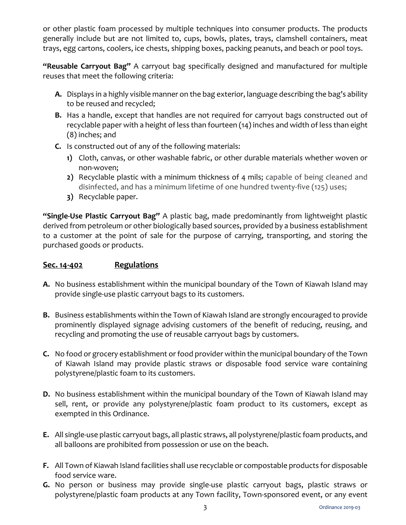or other plastic foam processed by multiple techniques into consumer products. The products generally include but are not limited to, cups, bowls, plates, trays, clamshell containers, meat trays, egg cartons, coolers, ice chests, shipping boxes, packing peanuts, and beach or pool toys.

**"Reusable Carryout Bag"** A carryout bag specifically designed and manufactured for multiple reuses that meet the following criteria:

- **A.** Displays in a highly visible manner on the bag exterior, language describing the bag's ability to be reused and recycled;
- **B.** Has a handle, except that handles are not required for carryout bags constructed out of recyclable paper with a height of less than fourteen (14) inches and width of less than eight (8) inches; and
- **C.** Is constructed out of any of the following materials:
	- **1)** Cloth, canvas, or other washable fabric, or other durable materials whether woven or non-woven;
	- **2)** Recyclable plastic with a minimum thickness of 4 mils; capable of being cleaned and disinfected, and has a minimum lifetime of one hundred twenty-five (125) uses;
	- **3)** Recyclable paper.

**"Single-Use Plastic Carryout Bag"** A plastic bag, made predominantly from lightweight plastic derived from petroleum or other biologically based sources, provided by a business establishment to a customer at the point of sale for the purpose of carrying, transporting, and storing the purchased goods or products.

## **Sec. 14-402 Regulations**

- **A.** No business establishment within the municipal boundary of the Town of Kiawah Island may provide single-use plastic carryout bags to its customers.
- **B.** Business establishments within the Town of Kiawah Island are strongly encouraged to provide prominently displayed signage advising customers of the benefit of reducing, reusing, and recycling and promoting the use of reusable carryout bags by customers.
- **C.** No food or grocery establishment or food provider within the municipal boundary of the Town of Kiawah Island may provide plastic straws or disposable food service ware containing polystyrene/plastic foam to its customers.
- **D.** No business establishment within the municipal boundary of the Town of Kiawah Island may sell, rent, or provide any polystyrene/plastic foam product to its customers, except as exempted in this Ordinance.
- **E.** All single-use plastic carryout bags, all plastic straws, all polystyrene/plastic foam products, and all balloons are prohibited from possession or use on the beach.
- **F.** All Town of Kiawah Island facilities shall use recyclable or compostable products for disposable food service ware.
- **G.** No person or business may provide single-use plastic carryout bags, plastic straws or polystyrene/plastic foam products at any Town facility, Town-sponsored event, or any event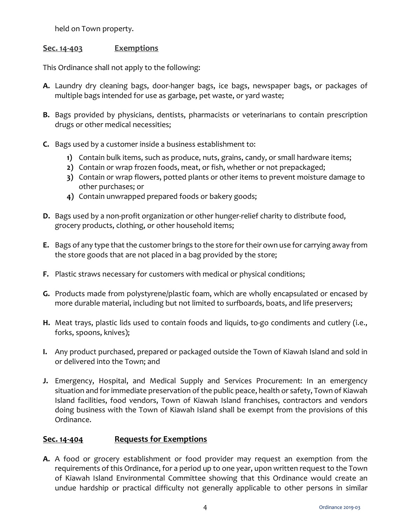held on Town property.

#### **Sec. 14-403 Exemptions**

This Ordinance shall not apply to the following:

- **A.** Laundry dry cleaning bags, door-hanger bags, ice bags, newspaper bags, or packages of multiple bags intended for use as garbage, pet waste, or yard waste;
- **B.** Bags provided by physicians, dentists, pharmacists or veterinarians to contain prescription drugs or other medical necessities;
- **C.** Bags used by a customer inside a business establishment to:
	- **1)** Contain bulk items, such as produce, nuts, grains, candy, or small hardware items;
	- **2)** Contain or wrap frozen foods, meat, or fish, whether or not prepackaged;
	- **3)** Contain or wrap flowers, potted plants or other items to prevent moisture damage to other purchases; or
	- **4)** Contain unwrapped prepared foods or bakery goods;
- **D.** Bags used by a non-profit organization or other hunger-relief charity to distribute food, grocery products, clothing, or other household items;
- **E.** Bags of any type that the customer brings to the store for their own use for carrying away from the store goods that are not placed in a bag provided by the store;
- **F.** Plastic straws necessary for customers with medical or physical conditions;
- **G.** Products made from polystyrene/plastic foam, which are wholly encapsulated or encased by more durable material, including but not limited to surfboards, boats, and life preservers;
- **H.** Meat trays, plastic lids used to contain foods and liquids, to-go condiments and cutlery (i.e., forks, spoons, knives);
- **I.** Any product purchased, prepared or packaged outside the Town of Kiawah Island and sold in or delivered into the Town; and
- **J.** Emergency, Hospital, and Medical Supply and Services Procurement: In an emergency situation and for immediate preservation of the public peace, health or safety, Town of Kiawah Island facilities, food vendors, Town of Kiawah Island franchises, contractors and vendors doing business with the Town of Kiawah Island shall be exempt from the provisions of this Ordinance.

## **Sec. 14-404 Requests for Exemptions**

**A.** A food or grocery establishment or food provider may request an exemption from the requirements of this Ordinance, for a period up to one year, upon written request to the Town of Kiawah Island Environmental Committee showing that this Ordinance would create an undue hardship or practical difficulty not generally applicable to other persons in similar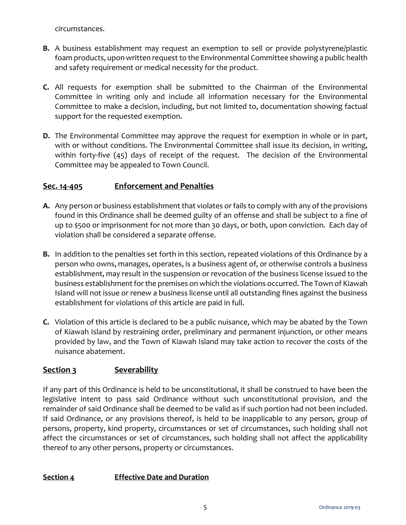circumstances.

- **B.** A business establishment may request an exemption to sell or provide polystyrene/plastic foam products, upon written request to the Environmental Committee showing a public health and safety requirement or medical necessity for the product.
- **C.** All requests for exemption shall be submitted to the Chairman of the Environmental Committee in writing only and include all information necessary for the Environmental Committee to make a decision, including, but not limited to, documentation showing factual support for the requested exemption.
- **D.** The Environmental Committee may approve the request for exemption in whole or in part, with or without conditions. The Environmental Committee shall issue its decision, in writing, within forty-five (45) days of receipt of the request. The decision of the Environmental Committee may be appealed to Town Council.

#### **Sec. 14-405 Enforcement and Penalties**

- **A.** Any person or business establishment that violates or fails to comply with any of the provisions found in this Ordinance shall be deemed guilty of an offense and shall be subject to a fine of up to \$500 or imprisonment for not more than 30 days, or both, upon conviction. Each day of violation shall be considered a separate offense.
- **B.** In addition to the penalties set forth in this section, repeated violations of this Ordinance by a person who owns, manages, operates, is a business agent of, or otherwise controls a business establishment, may result in the suspension or revocation of the business license issued to the business establishment for the premises on which the violations occurred. The Town of Kiawah Island will not issue or renew a business license until all outstanding fines against the business establishment for violations of this article are paid in full.
- **C.** Violation of this article is declared to be a public nuisance, which may be abated by the Town of Kiawah Island by restraining order, preliminary and permanent injunction, or other means provided by law, and the Town of Kiawah Island may take action to recover the costs of the nuisance abatement.

## **Section 3 Severability**

If any part of this Ordinance is held to be unconstitutional, it shall be construed to have been the legislative intent to pass said Ordinance without such unconstitutional provision, and the remainder of said Ordinance shall be deemed to be valid as if such portion had not been included. If said Ordinance, or any provisions thereof, is held to be inapplicable to any person, group of persons, property, kind property, circumstances or set of circumstances, such holding shall not affect the circumstances or set of circumstances, such holding shall not affect the applicability thereof to any other persons, property or circumstances.

#### **Section 4 Effective Date and Duration**